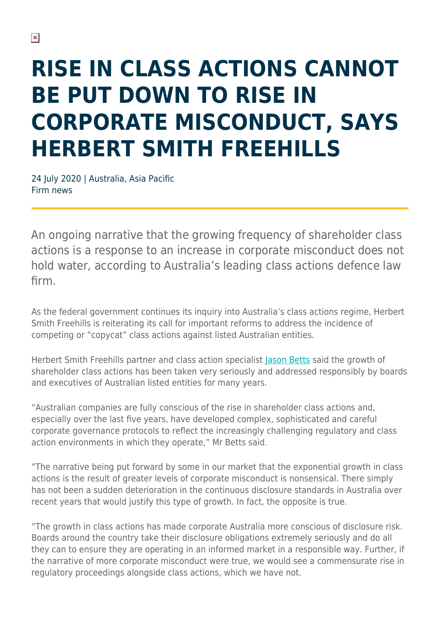## **RISE IN CLASS ACTIONS CANNOT BE PUT DOWN TO RISE IN CORPORATE MISCONDUCT, SAYS HERBERT SMITH FREEHILLS**

24 July 2020 | Australia, Asia Pacific Firm news

An ongoing narrative that the growing frequency of shareholder class actions is a response to an increase in corporate misconduct does not hold water, according to Australia's leading class actions defence law firm.

As the federal government continues its inquiry into Australia's class actions regime, Herbert Smith Freehills is reiterating its call for important reforms to address the incidence of competing or "copycat" class actions against listed Australian entities.

Herbert Smith Freehills partner and class action specialist [Jason Betts](https://www.herbertsmithfreehills.com/our-people/jason-betts) said the growth of shareholder class actions has been taken very seriously and addressed responsibly by boards and executives of Australian listed entities for many years.

"Australian companies are fully conscious of the rise in shareholder class actions and, especially over the last five years, have developed complex, sophisticated and careful corporate governance protocols to reflect the increasingly challenging regulatory and class action environments in which they operate," Mr Betts said.

"The narrative being put forward by some in our market that the exponential growth in class actions is the result of greater levels of corporate misconduct is nonsensical. There simply has not been a sudden deterioration in the continuous disclosure standards in Australia over recent years that would justify this type of growth. In fact, the opposite is true.

"The growth in class actions has made corporate Australia more conscious of disclosure risk. Boards around the country take their disclosure obligations extremely seriously and do all they can to ensure they are operating in an informed market in a responsible way. Further, if the narrative of more corporate misconduct were true, we would see a commensurate rise in regulatory proceedings alongside class actions, which we have not.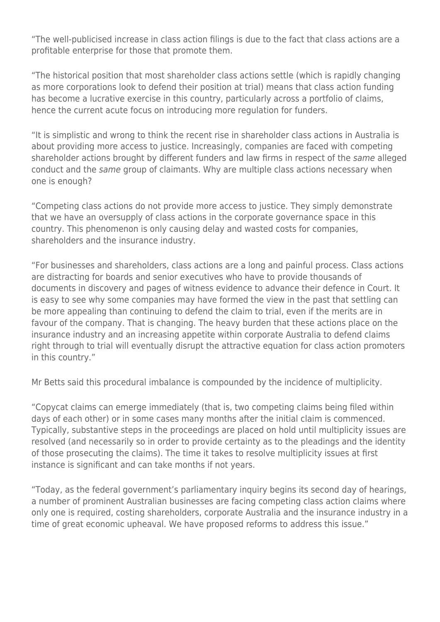"The well-publicised increase in class action filings is due to the fact that class actions are a profitable enterprise for those that promote them.

"The historical position that most shareholder class actions settle (which is rapidly changing as more corporations look to defend their position at trial) means that class action funding has become a lucrative exercise in this country, particularly across a portfolio of claims, hence the current acute focus on introducing more regulation for funders.

"It is simplistic and wrong to think the recent rise in shareholder class actions in Australia is about providing more access to justice. Increasingly, companies are faced with competing shareholder actions brought by different funders and law firms in respect of the same alleged conduct and the same group of claimants. Why are multiple class actions necessary when one is enough?

"Competing class actions do not provide more access to justice. They simply demonstrate that we have an oversupply of class actions in the corporate governance space in this country. This phenomenon is only causing delay and wasted costs for companies, shareholders and the insurance industry.

"For businesses and shareholders, class actions are a long and painful process. Class actions are distracting for boards and senior executives who have to provide thousands of documents in discovery and pages of witness evidence to advance their defence in Court. It is easy to see why some companies may have formed the view in the past that settling can be more appealing than continuing to defend the claim to trial, even if the merits are in favour of the company. That is changing. The heavy burden that these actions place on the insurance industry and an increasing appetite within corporate Australia to defend claims right through to trial will eventually disrupt the attractive equation for class action promoters in this country."

Mr Betts said this procedural imbalance is compounded by the incidence of multiplicity.

"Copycat claims can emerge immediately (that is, two competing claims being filed within days of each other) or in some cases many months after the initial claim is commenced. Typically, substantive steps in the proceedings are placed on hold until multiplicity issues are resolved (and necessarily so in order to provide certainty as to the pleadings and the identity of those prosecuting the claims). The time it takes to resolve multiplicity issues at first instance is significant and can take months if not years.

"Today, as the federal government's parliamentary inquiry begins its second day of hearings, a number of prominent Australian businesses are facing competing class action claims where only one is required, costing shareholders, corporate Australia and the insurance industry in a time of great economic upheaval. We have proposed reforms to address this issue."